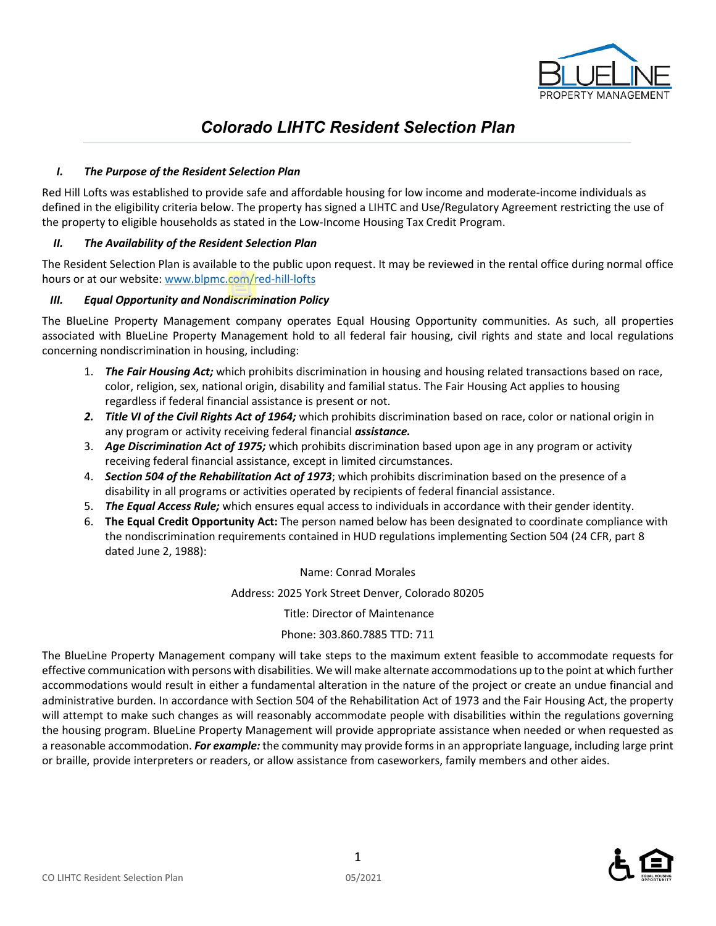

# *Colorado LIHTC Resident Selection Plan*

## *I. The Purpose of the Resident Selection Plan*

Red Hill Lofts was established to provide safe and affordable housing for low income and moderate-income individuals as defined in the eligibility criteria below. The property has signed a LIHTC and Use/Regulatory Agreement restricting the use of the property to eligible households as stated in the Low-Income Housing Tax Credit Program.

## *II. The Availability of the Resident Selection Plan*

The Resident Selection Plan is available to the public upon request. It may be reviewed in the rental office during normal office hours or at our website: [www.blpmc.c](https://blpmc.com/red-hill-lofts)om/red-hill-lofts

## *III. Equal Opportunity and Nondiscrimination Policy*

The BlueLine Property Management company operates Equal Housing Opportunity communities. As such, all properties associated with BlueLine Property Management hold to all federal fair housing, civil rights and state and local regulations concerning nondiscrimination in housing, including:

- 1. *The Fair Housing Act;* which prohibits discrimination in housing and housing related transactions based on race, color, religion, sex, national origin, disability and familial status. The Fair Housing Act applies to housing regardless if federal financial assistance is present or not.
- *2. Title VI of the Civil Rights Act of 1964;* which prohibits discrimination based on race, color or national origin in any program or activity receiving federal financial *assistance.*
- 3. *Age Discrimination Act of 1975;* which prohibits discrimination based upon age in any program or activity receiving federal financial assistance, except in limited circumstances.
- 4. *Section 504 of the Rehabilitation Act of 1973*; which prohibits discrimination based on the presence of a disability in all programs or activities operated by recipients of federal financial assistance.
- 5. *The Equal Access Rule;* which ensures equal access to individuals in accordance with their gender identity.
- 6. **The Equal Credit Opportunity Act:** The person named below has been designated to coordinate compliance with the nondiscrimination requirements contained in HUD regulations implementing Section 504 (24 CFR, part 8 dated June 2, 1988):

## Name: Conrad Morales

Address: 2025 York Street Denver, Colorado 80205

Title: Director of Maintenance

# Phone: 303.860.7885 TTD: 711

The BlueLine Property Management company will take steps to the maximum extent feasible to accommodate requests for effective communication with persons with disabilities. We will make alternate accommodations up to the point at which further accommodations would result in either a fundamental alteration in the nature of the project or create an undue financial and administrative burden. In accordance with Section 504 of the Rehabilitation Act of 1973 and the Fair Housing Act, the property will attempt to make such changes as will reasonably accommodate people with disabilities within the regulations governing the housing program. BlueLine Property Management will provide appropriate assistance when needed or when requested as a reasonable accommodation. *For example:* the community may provide forms in an appropriate language, including large print or braille, provide interpreters or readers, or allow assistance from caseworkers, family members and other aides.

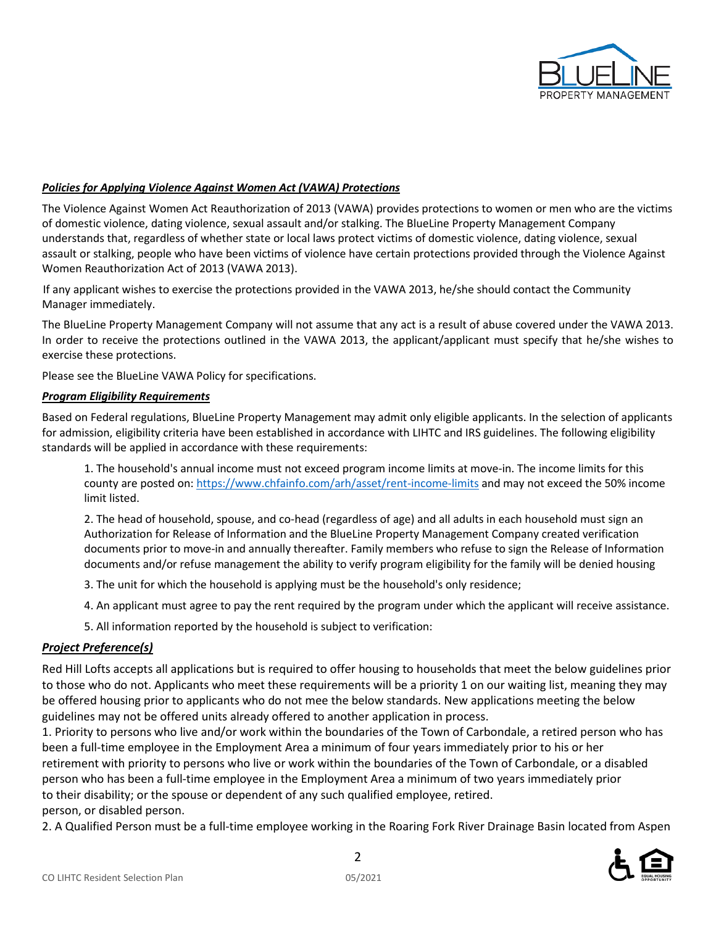

#### *Policies for Applying Violence Against Women Act (VAWA) Protections*

The Violence Against Women Act Reauthorization of 2013 (VAWA) provides protections to women or men who are the victims of domestic violence, dating violence, sexual assault and/or stalking. The BlueLine Property Management Company understands that, regardless of whether state or local laws protect victims of domestic violence, dating violence, sexual assault or stalking, people who have been victims of violence have certain protections provided through the Violence Against Women Reauthorization Act of 2013 (VAWA 2013).

If any applicant wishes to exercise the protections provided in the VAWA 2013, he/she should contact the Community Manager immediately.

The BlueLine Property Management Company will not assume that any act is a result of abuse covered under the VAWA 2013. In order to receive the protections outlined in the VAWA 2013, the applicant/applicant must specify that he/she wishes to exercise these protections.

Please see the BlueLine VAWA Policy for specifications.

#### *Program Eligibility Requirements*

Based on Federal regulations, BlueLine Property Management may admit only eligible applicants. In the selection of applicants for admission, eligibility criteria have been established in accordance with LIHTC and IRS guidelines. The following eligibility standards will be applied in accordance with these requirements:

1. The household's annual income must not exceed program income limits at move-in. The income limits for this county are posted on: <https://www.chfainfo.com/arh/asset/rent-income-limits> and may not exceed the 50% income limit listed.

2. The head of household, spouse, and co-head (regardless of age) and all adults in each household must sign an Authorization for Release of Information and the BlueLine Property Management Company created verification documents prior to move-in and annually thereafter. Family members who refuse to sign the Release of Information documents and/or refuse management the ability to verify program eligibility for the family will be denied housing

- 3. The unit for which the household is applying must be the household's only residence;
- 4. An applicant must agree to pay the rent required by the program under which the applicant will receive assistance.
- 5. All information reported by the household is subject to verification:

#### *Project Preference(s)*

Red Hill Lofts accepts all applications but is required to offer housing to households that meet the below guidelines prior to those who do not. Applicants who meet these requirements will be a priority 1 on our waiting list, meaning they may be offered housing prior to applicants who do not mee the below standards. New applications meeting the below guidelines may not be offered units already offered to another application in process.

1. Priority to persons who live and/or work within the boundaries of the Town of Carbondale, a retired person who has been a full-time employee in the Employment Area a minimum of four years immediately prior to his or her retirement with priority to persons who live or work within the boundaries of the Town of Carbondale, or a disabled person who has been a full-time employee in the Employment Area a minimum of two years immediately prior to their disability; or the spouse or dependent of any such qualified employee, retired. person, or disabled person.

2. A Qualified Person must be a full-time employee working in the Roaring Fork River Drainage Basin located from Aspen

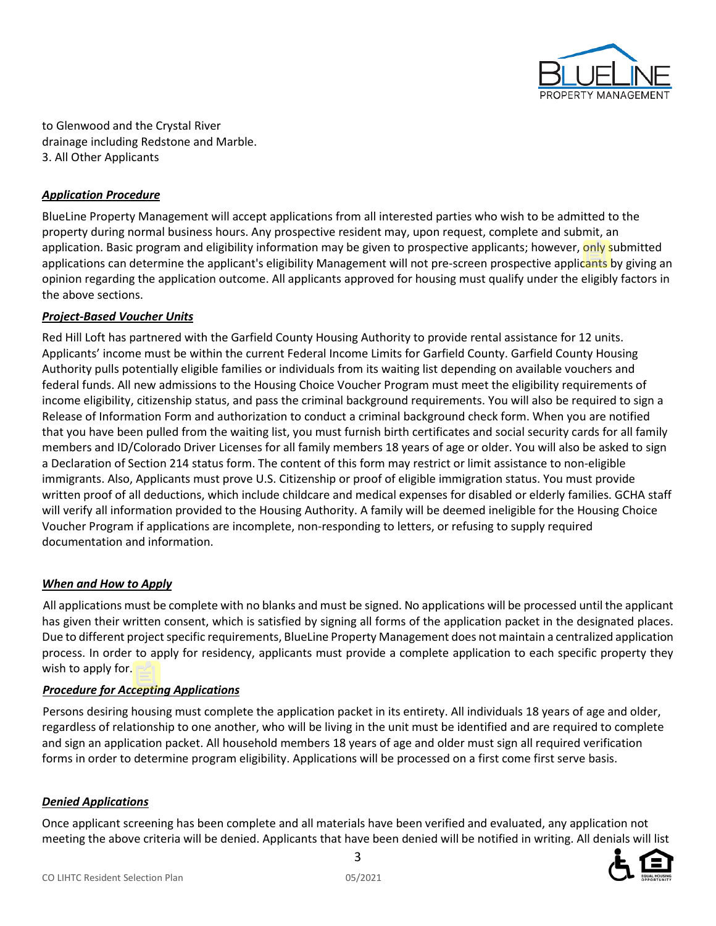

to Glenwood and the Crystal River drainage including Redstone and Marble. 3. All Other Applicants

## *Application Procedure*

BlueLine Property Management will accept applications from all interested parties who wish to be admitted to the property during normal business hours. Any prospective resident may, upon request, complete and submit, an application. Basic program and eligibility information may be given to prospective applicants; however, only submitted applications can determine the applicant's eligibility Management will not pre-screen prospective applicants by giving an opinion regarding the application outcome. All applicants approved for housing must qualify under the eligibly factors in the above sections.

## *Project-Based Voucher Units*

Red Hill Loft has partnered with the Garfield County Housing Authority to provide rental assistance for 12 units. Applicants' income must be within the current Federal Income Limits for Garfield County. Garfield County Housing Authority pulls potentially eligible families or individuals from its waiting list depending on available vouchers and federal funds. All new admissions to the Housing Choice Voucher Program must meet the eligibility requirements of income eligibility, citizenship status, and pass the criminal background requirements. You will also be required to sign a Release of Information Form and authorization to conduct a criminal background check form. When you are notified that you have been pulled from the waiting list, you must furnish birth certificates and social security cards for all family members and ID/Colorado Driver Licenses for all family members 18 years of age or older. You will also be asked to sign a Declaration of Section 214 status form. The content of this form may restrict or limit assistance to non-eligible immigrants. Also, Applicants must prove U.S. Citizenship or proof of eligible immigration status. You must provide written proof of all deductions, which include childcare and medical expenses for disabled or elderly families. GCHA staff will verify all information provided to the Housing Authority. A family will be deemed ineligible for the Housing Choice Voucher Program if applications are incomplete, non-responding to letters, or refusing to supply required documentation and information.

## *When and How to Apply*

All applications must be complete with no blanks and must be signed. No applications will be processed until the applicant has given their written consent, which is satisfied by signing all forms of the application packet in the designated places. Due to different project specific requirements, BlueLine Property Management does not maintain a centralized application process. In order to apply for residency, applicants must provide a complete application to each specific property they wish to apply for.

# *Procedure for Accepting Applications*

Persons desiring housing must complete the application packet in its entirety. All individuals 18 years of age and older, regardless of relationship to one another, who will be living in the unit must be identified and are required to complete and sign an application packet. All household members 18 years of age and older must sign all required verification forms in order to determine program eligibility. Applications will be processed on a first come first serve basis.

# *Denied Applications*

Once applicant screening has been complete and all materials have been verified and evaluated, any application not meeting the above criteria will be denied. Applicants that have been denied will be notified in writing. All denials will list

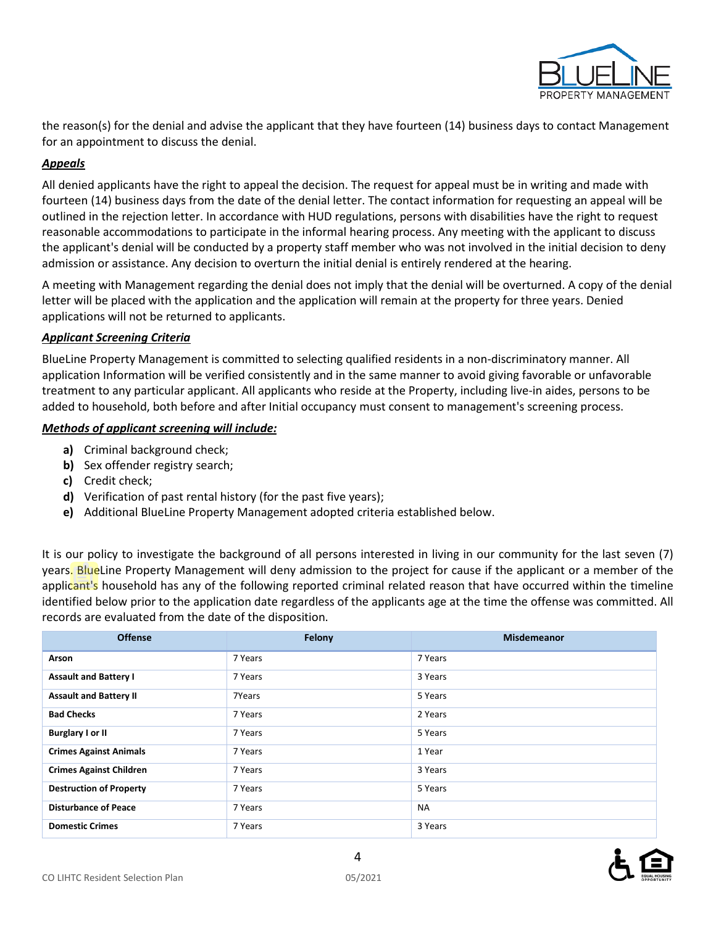

the reason(s) for the denial and advise the applicant that they have fourteen (14) business days to contact Management for an appointment to discuss the denial.

## *Appeals*

All denied applicants have the right to appeal the decision. The request for appeal must be in writing and made with fourteen (14) business days from the date of the denial letter. The contact information for requesting an appeal will be outlined in the rejection letter. In accordance with HUD regulations, persons with disabilities have the right to request reasonable accommodations to participate in the informal hearing process. Any meeting with the applicant to discuss the applicant's denial will be conducted by a property staff member who was not involved in the initial decision to deny admission or assistance. Any decision to overturn the initial denial is entirely rendered at the hearing.

A meeting with Management regarding the denial does not imply that the denial will be overturned. A copy of the denial letter will be placed with the application and the application will remain at the property for three years. Denied applications will not be returned to applicants.

## *Applicant Screening Criteria*

BlueLine Property Management is committed to selecting qualified residents in a non-discriminatory manner. All application Information will be verified consistently and in the same manner to avoid giving favorable or unfavorable treatment to any particular applicant. All applicants who reside at the Property, including live-in aides, persons to be added to household, both before and after Initial occupancy must consent to management's screening process.

## *Methods of applicant screening will include:*

- **a)** Criminal background check;
- **b)** Sex offender registry search;
- **c)** Credit check;
- **d)** Verification of past rental history (for the past five years);
- **e)** Additional BlueLine Property Management adopted criteria established below.

It is our policy to investigate the background of all persons interested in living in our community for the last seven (7) years. BlueLine Property Management will deny admission to the project for cause if the applicant or a member of the applicant's household has any of the following reported criminal related reason that have occurred within the timeline identified below prior to the application date regardless of the applicants age at the time the offense was committed. All records are evaluated from the date of the disposition.

| <b>Offense</b>                 | Felony  | <b>Misdemeanor</b> |
|--------------------------------|---------|--------------------|
| Arson                          | 7 Years | 7 Years            |
| <b>Assault and Battery I</b>   | 7 Years | 3 Years            |
| <b>Assault and Battery II</b>  | 7Years  | 5 Years            |
| <b>Bad Checks</b>              | 7 Years | 2 Years            |
| <b>Burglary I or II</b>        | 7 Years | 5 Years            |
| <b>Crimes Against Animals</b>  | 7 Years | 1 Year             |
| <b>Crimes Against Children</b> | 7 Years | 3 Years            |
| <b>Destruction of Property</b> | 7 Years | 5 Years            |
| <b>Disturbance of Peace</b>    | 7 Years | <b>NA</b>          |
| <b>Domestic Crimes</b>         | 7 Years | 3 Years            |

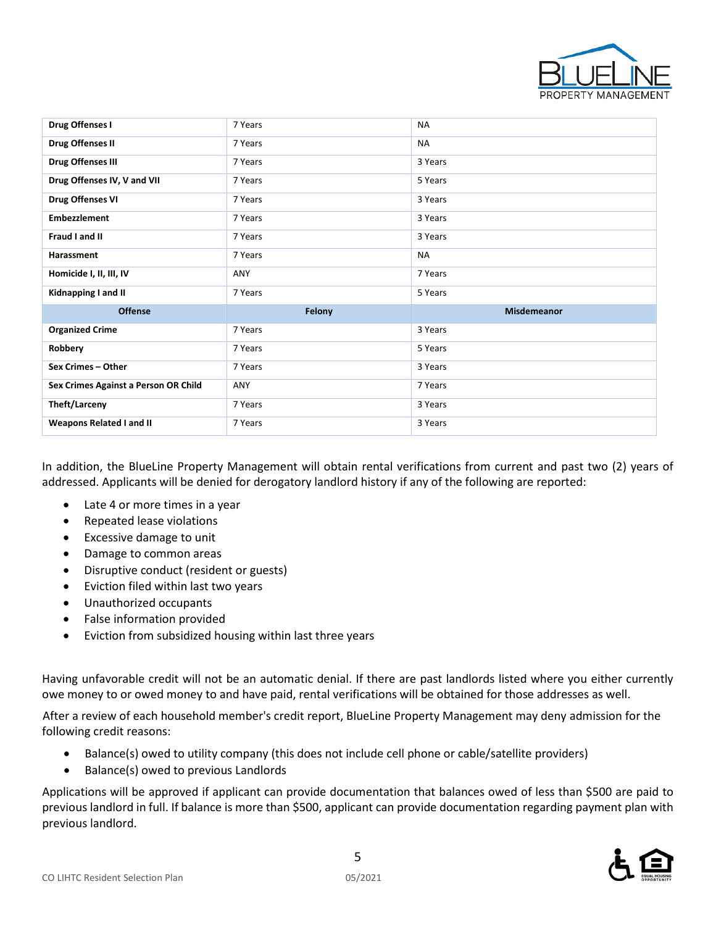

| Drug Offenses I                      | 7 Years | <b>NA</b>          |
|--------------------------------------|---------|--------------------|
| Drug Offenses II                     | 7 Years | <b>NA</b>          |
| <b>Drug Offenses III</b>             | 7 Years | 3 Years            |
| Drug Offenses IV, V and VII          | 7 Years | 5 Years            |
| <b>Drug Offenses VI</b>              | 7 Years | 3 Years            |
| <b>Embezzlement</b>                  | 7 Years | 3 Years            |
| Fraud I and II                       | 7 Years | 3 Years            |
| Harassment                           | 7 Years | <b>NA</b>          |
| Homicide I, II, III, IV              | ANY     | 7 Years            |
|                                      |         |                    |
| Kidnapping I and II                  | 7 Years | 5 Years            |
| <b>Offense</b>                       | Felony  | <b>Misdemeanor</b> |
| <b>Organized Crime</b>               | 7 Years | 3 Years            |
| Robbery                              | 7 Years | 5 Years            |
| Sex Crimes - Other                   | 7 Years | 3 Years            |
| Sex Crimes Against a Person OR Child | ANY     | 7 Years            |
| Theft/Larceny                        | 7 Years | 3 Years            |

In addition, the BlueLine Property Management will obtain rental verifications from current and past two (2) years of addressed. Applicants will be denied for derogatory landlord history if any of the following are reported:

- Late 4 or more times in a year
- Repeated lease violations
- Excessive damage to unit
- Damage to common areas
- Disruptive conduct (resident or guests)
- Eviction filed within last two years
- Unauthorized occupants
- False information provided
- Eviction from subsidized housing within last three years

Having unfavorable credit will not be an automatic denial. If there are past landlords listed where you either currently owe money to or owed money to and have paid, rental verifications will be obtained for those addresses as well.

After a review of each household member's credit report, BlueLine Property Management may deny admission for the following credit reasons:

- Balance(s) owed to utility company (this does not include cell phone or cable/satellite providers)
- Balance(s) owed to previous Landlords

Applications will be approved if applicant can provide documentation that balances owed of less than \$500 are paid to previous landlord in full. If balance is more than \$500, applicant can provide documentation regarding payment plan with previous landlord.

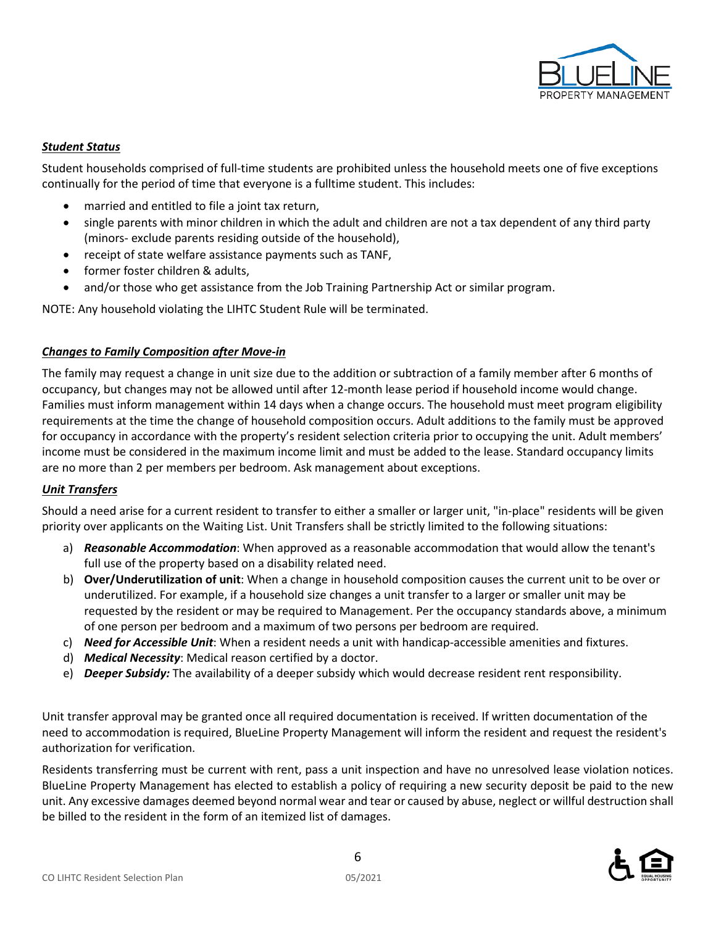

## *Student Status*

Student households comprised of full-time students are prohibited unless the household meets one of five exceptions continually for the period of time that everyone is a fulltime student. This includes:

- married and entitled to file a joint tax return,
- single parents with minor children in which the adult and children are not a tax dependent of any third party (minors- exclude parents residing outside of the household),
- receipt of state welfare assistance payments such as TANF,
- former foster children & adults,
- and/or those who get assistance from the Job Training Partnership Act or similar program.

NOTE: Any household violating the LIHTC Student Rule will be terminated.

## *Changes to Family Composition after Move-in*

The family may request a change in unit size due to the addition or subtraction of a family member after 6 months of occupancy, but changes may not be allowed until after 12-month lease period if household income would change. Families must inform management within 14 days when a change occurs. The household must meet program eligibility requirements at the time the change of household composition occurs. Adult additions to the family must be approved for occupancy in accordance with the property's resident selection criteria prior to occupying the unit. Adult members' income must be considered in the maximum income limit and must be added to the lease. Standard occupancy limits are no more than 2 per members per bedroom. Ask management about exceptions.

## *Unit Transfers*

Should a need arise for a current resident to transfer to either a smaller or larger unit, "in-place" residents will be given priority over applicants on the Waiting List. Unit Transfers shall be strictly limited to the following situations:

- a) *Reasonable Accommodation*: When approved as a reasonable accommodation that would allow the tenant's full use of the property based on a disability related need.
- b) **Over/Underutilization of unit**: When a change in household composition causes the current unit to be over or underutilized. For example, if a household size changes a unit transfer to a larger or smaller unit may be requested by the resident or may be required to Management. Per the occupancy standards above, a minimum of one person per bedroom and a maximum of two persons per bedroom are required.
- c) *Need for Accessible Unit*: When a resident needs a unit with handicap-accessible amenities and fixtures.
- d) *Medical Necessity*: Medical reason certified by a doctor.
- e) *Deeper Subsidy:* The availability of a deeper subsidy which would decrease resident rent responsibility.

Unit transfer approval may be granted once all required documentation is received. If written documentation of the need to accommodation is required, BlueLine Property Management will inform the resident and request the resident's authorization for verification.

Residents transferring must be current with rent, pass a unit inspection and have no unresolved lease violation notices. BlueLine Property Management has elected to establish a policy of requiring a new security deposit be paid to the new unit. Any excessive damages deemed beyond normal wear and tear or caused by abuse, neglect or willful destruction shall be billed to the resident in the form of an itemized list of damages.